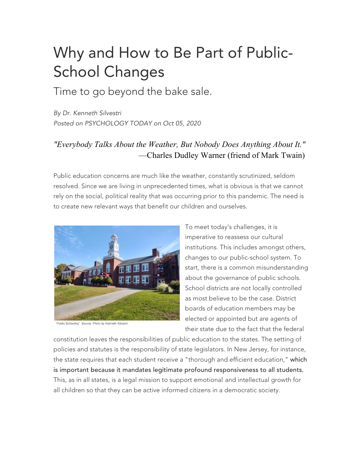## Why and How to Be Part of Public-School Changes

Time to go beyond the bake sale.

*By Dr. Kenneth Silvestri Posted on PSYCHOLOGY TODAY on Oct 05, 2020*

## *"Everybody Talks About the Weather, But Nobody Does Anything About It."*  —Charles Dudley Warner (friend of Mark Twain)

Public education concerns are much like the weather, constantly scrutinized, seldom resolved. Since we are living in unprecedented times, what is obvious is that we cannot rely on the social, political reality that was occurring prior to this pandemic. The need is to create new relevant ways that benefit our children and ourselves.



Public Schooling" Source: Photo by Kenneth Silvestri

To meet today's challenges, it is imperative to reassess our cultural institutions. This includes amongst others, changes to our public-school system. To start, there is a common misunderstanding about the governance of public schools. School districts are not locally controlled as most believe to be the case. District boards of education members may be elected or appointed but are agents of their state due to the fact that the federal

constitution leaves the responsibilities of public education to the states. The setting of policies and statutes is the responsibility of state legislators. In New Jersey, for instance, the state requires that each student receive a "thorough and efficient education," which is important because it mandates legitimate profound responsiveness to all students. This, as in all states, is a legal mission to support emotional and intellectual growth for all children so that they can be active informed citizens in a democratic society.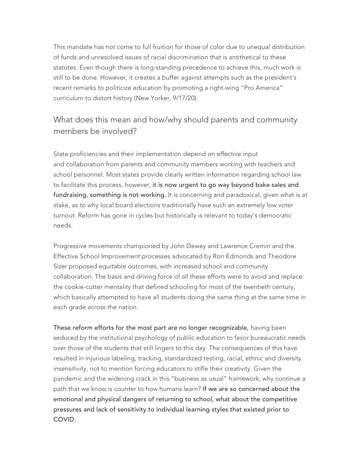This mandate has not come to full fruition for those of color due to unequal distribution of funds and unresolved issues of racial discrimination that is antithetical to these statutes. Even though there is long-standing precedence to achieve this, much work is still to be done. However, it creates a buffer against attempts such as the president's recent remarks to politicize education by promoting a right-wing "Pro America" curriculum to distort history (New Yorker, 9/17/20).

## What does this mean and how/why should parents and community members be involved?

State proficiencies and their implementation depend on effective input and collaboration from parents and community members working with teachers and school personnel. Most states provide clearly written information regarding school law to facilitate this process, however, it is now urgent to go way beyond bake sales and fundraising, something is not working. It is concerning and paradoxical, given what is at stake, as to why local board elections traditionally have such an extremely low voter turnout. Reform has gone in cycles but historically is relevant to today's democratic needs.

Progressive movements championed by John Dewey and Lawrence Cremin and the Effective School Improvement processes advocated by Ron Edmonds and Theodore Sizer proposed equitable outcomes, with increased school and community collaboration. The basis and driving force of all these efforts were to avoid and replace the cookie-cutter mentality that defined schooling for most of the twentieth century, which basically attempted to have all students doing the same thing at the same time in each grade across the nation.

These reform efforts for the most part are no longer recognizable, having been seduced by the institutional psychology of public education to favor bureaucratic needs over those of the students that still lingers to this day. The consequences of this have resulted in injurious labeling, tracking, standardized testing, racial, ethnic and diversity insensitivity, not to mention forcing educators to stifle their creativity. Given the pandemic and the widening crack in this "business as usual" framework, why continue a path that we know is counter to how humans learn? If we are so concerned about the emotional and physical dangers of returning to school, what about the competitive pressures and lack of sensitivity to individual learning styles that existed prior to COVID.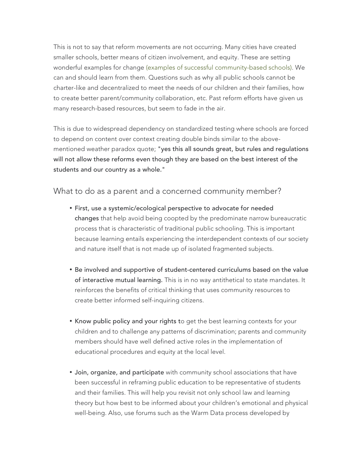This is not to say that reform movements are not occurring. Many cities have created smaller schools, better means of citizen involvement, and equity. These are setting wonderful examples for change (examples of successful community-based schools). We can and should learn from them. Questions such as why all public schools cannot be charter-like and decentralized to meet the needs of our children and their families, how to create better parent/community collaboration, etc. Past reform efforts have given us many research-based resources, but seem to fade in the air.

This is due to widespread dependency on standardized testing where schools are forced to depend on content over context creating double binds similar to the abovementioned weather paradox quote; "yes this all sounds great, but rules and regulations will not allow these reforms even though they are based on the best interest of the students and our country as a whole."

## What to do as a parent and a concerned community member?

- First, use a systemic/ecological perspective to advocate for needed changes that help avoid being coopted by the predominate narrow bureaucratic process that is characteristic of traditional public schooling. This is important because learning entails experiencing the interdependent contexts of our society and nature itself that is not made up of isolated fragmented subjects.
- Be involved and supportive of student-centered curriculums based on the value of interactive mutual learning. This is in no way antithetical to state mandates. It reinforces the benefits of critical thinking that uses community resources to create better informed self-inquiring citizens.
- Know public policy and your rights to get the best learning contexts for your children and to challenge any patterns of discrimination; parents and community members should have well defined active roles in the implementation of educational procedures and equity at the local level.
- Join, organize, and participate with community school associations that have been successful in reframing public education to be representative of students and their families. This will help you revisit not only school law and learning theory but how best to be informed about your children's emotional and physical well-being. Also, use forums such as the Warm Data process developed by